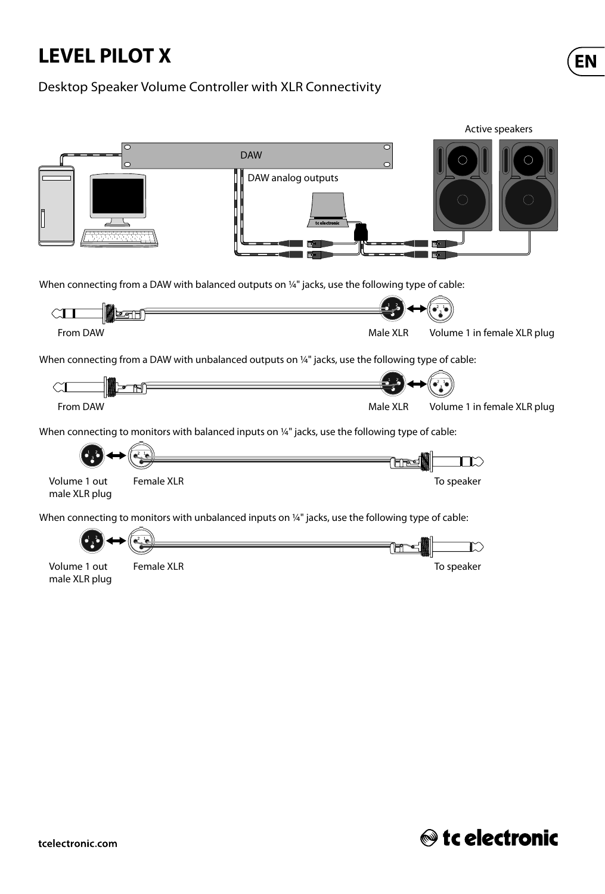# **LEVEL PILOT X**

#### Desktop Speaker Volume Controller with XLR Connectivity